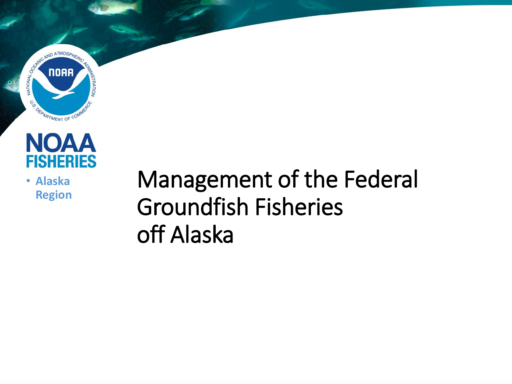



• **Alaska Region**

### Management of the Federal Groundfish Fisheries off Alaska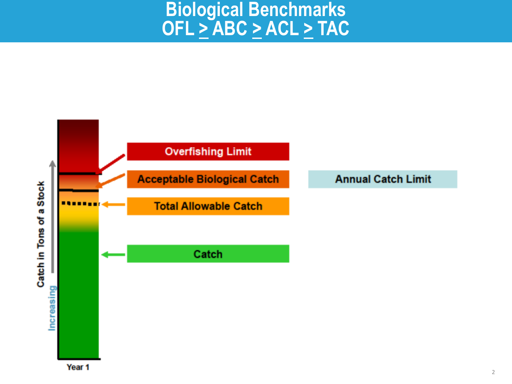#### **Biological Benchmarks OFL > ABC > ACL > TAC**

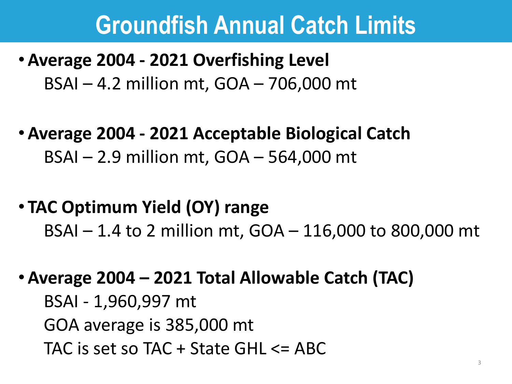#### **Groundfish Annual Catch Limits**

#### • **Average 2004 - 2021 Overfishing Level**  BSAI – 4.2 million mt, GOA – 706,000 mt

- **Average 2004 - 2021 Acceptable Biological Catch**  BSAI – 2.9 million mt, GOA – 564,000 mt
- **TAC Optimum Yield (OY) range** BSAI – 1.4 to 2 million mt, GOA – 116,000 to 800,000 mt
- **Average 2004 – 2021 Total Allowable Catch (TAC)**

BSAI - 1,960,997 mt GOA average is 385,000 mt TAC is set so TAC  $+$  State GHL  $\leq$  ABC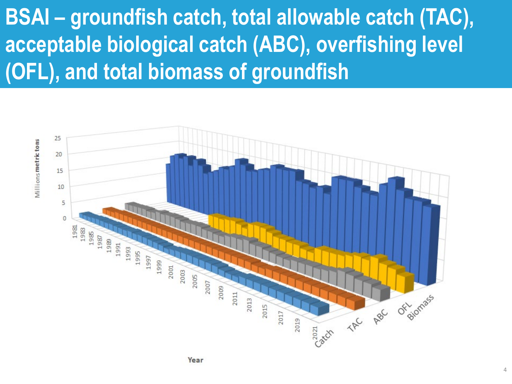**BSAI – groundfish catch, total allowable catch (TAC), acceptable biological catch (ABC), overfishing level (OFL), and total biomass of groundfish**

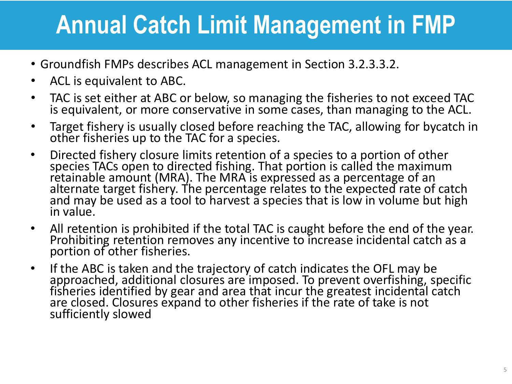# **Annual Catch Limit Management in FMP**

- Groundfish FMPs describes ACL management in Section 3.2.3.3.2.
- ACL is equivalent to ABC.
- TAC is set either at ABC or below, so managing the fisheries to not exceed TAC is equivalent, or more conservative in some cases, than managing to the ACL.
- Target fishery is usually closed before reaching the TAC, allowing for bycatch in other fisheries up to the TAC for a species.
- Directed fishery closure limits retention of a species to a portion of other species TACs open to directed fishing. That portion is called the maximum retainable amount (MRA). The MRA is expressed as a percentage of an alternate target fishery. The percentage relates to the expected rate of catch and may be used as a tool to harvest a species that is low in volume but high in value.
- All retention is prohibited if the total TAC is caught before the end of the year.<br>Prohibiting retention removes any incentive to increase incidental catch as a portion of other fisheries.
- If the ABC is taken and the trajectory of catch indicates the OFL may be approached, additional closures are imposed. To prevent overfishing, specific fisheries identified by gear and area that incur the greatest incidental catch are closed. Closures expand to other fisheries if the rate of take is not sufficiently slowed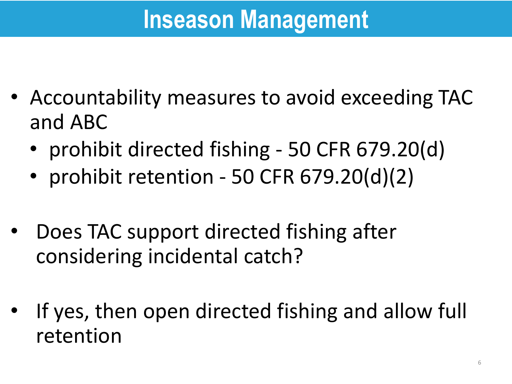# **Inseason Management**

- Accountability measures to avoid exceeding TAC and ABC
	- prohibit directed fishing 50 CFR 679.20(d)
	- prohibit retention 50 CFR 679.20(d)(2)
- Does TAC support directed fishing after considering incidental catch?
- If yes, then open directed fishing and allow full retention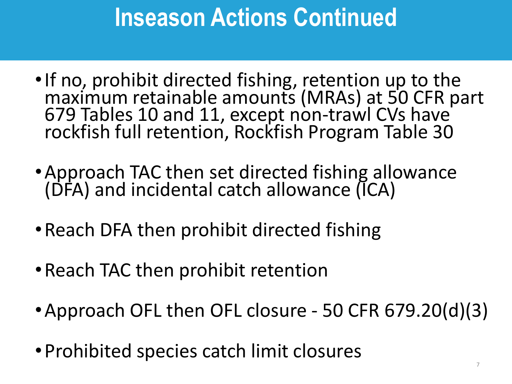# **Inseason Actions Continued**

- •If no, prohibit directed fishing, retention up to the maximum retainable amounts (MRAs) at 50 CFR part 679 Tables 10 and 11, except non-trawl CVs have rockfish full retention, Rockfish Program Table 30
- •Approach TAC then set directed fishing allowance (DFA) and incidental catch allowance (ICA)
- Reach DFA then prohibit directed fishing
- •Reach TAC then prohibit retention
- •Approach OFL then OFL closure 50 CFR 679.20(d)(3)
- •Prohibited species catch limit closures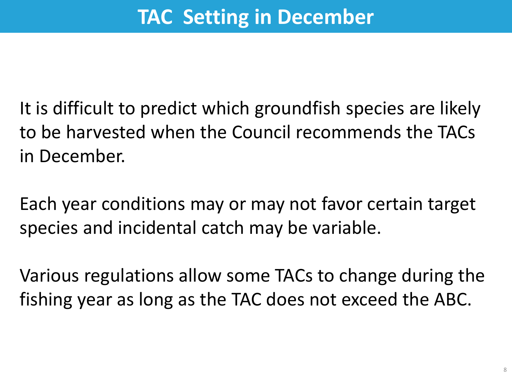It is difficult to predict which groundfish species are likely to be harvested when the Council recommends the TACs in December.

Each year conditions may or may not favor certain target species and incidental catch may be variable.

Various regulations allow some TACs to change during the fishing year as long as the TAC does not exceed the ABC.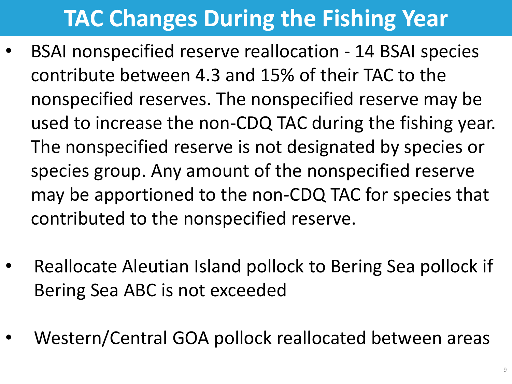#### **TAC Changes During the Fishing Year**

- BSAI nonspecified reserve reallocation 14 BSAI species contribute between 4.3 and 15% of their TAC to the nonspecified reserves. The nonspecified reserve may be used to increase the non-CDQ TAC during the fishing year. The nonspecified reserve is not designated by species or species group. Any amount of the nonspecified reserve may be apportioned to the non-CDQ TAC for species that contributed to the nonspecified reserve.
- Reallocate Aleutian Island pollock to Bering Sea pollock if Bering Sea ABC is not exceeded
- Western/Central GOA pollock reallocated between areas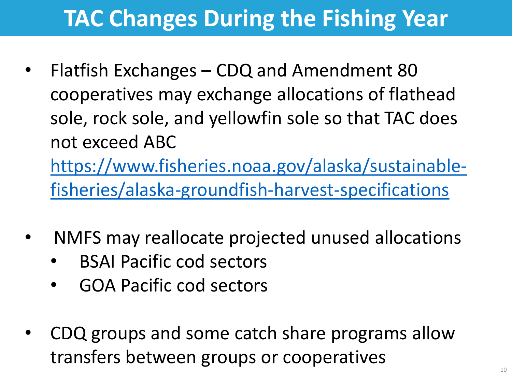### **TAC Changes During the Fishing Year**

- Flatfish Exchanges CDQ and Amendment 80 cooperatives may exchange allocations of flathead sole, rock sole, and yellowfin sole so that TAC does not exceed ABC [https://www.fisheries.noaa.gov/alaska/sustainable](https://www.fisheries.noaa.gov/alaska/sustainable-fisheries/alaska-groundfish-harvest-specifications)fisheries/alaska-groundfish-harvest-specifications
- NMFS may reallocate projected unused allocations
	- BSAI Pacific cod sectors
	- GOA Pacific cod sectors
- CDQ groups and some catch share programs allow transfers between groups or cooperatives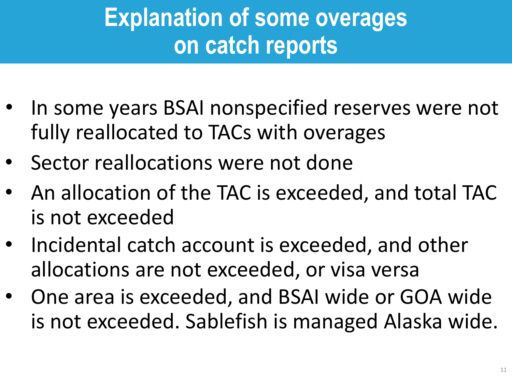# **Explanation of some overages on catch reports**

- In some years BSAI nonspecified reserves were not fully reallocated to TACs with overages
- Sector reallocations were not done
- An allocation of the TAC is exceeded, and total TAC is not exceeded
- Incidental catch account is exceeded, and other allocations are not exceeded, or visa versa
- One area is exceeded, and BSAI wide or GOA wide is not exceeded. Sablefish is managed Alaska wide.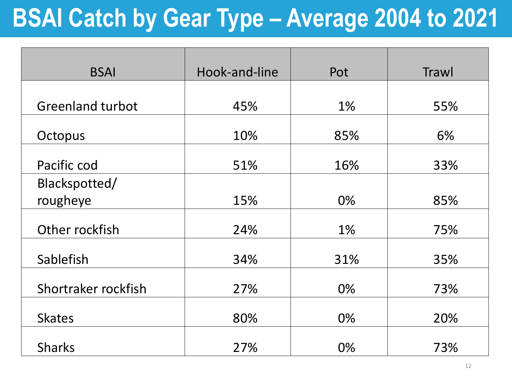# **BSAI Catch by Gear Type – Average 2004 to 2021**

| <b>BSAI</b>             | Hook-and-line | Pot   | Trawl |
|-------------------------|---------------|-------|-------|
|                         |               |       |       |
| <b>Greenland turbot</b> | 45%           | $1\%$ | 55%   |
| Octopus                 | 10%           | 85%   | 6%    |
| Pacific cod             | 51%           | 16%   | 33%   |
| Blackspotted/           |               |       |       |
| rougheye                | 15%           | 0%    | 85%   |
| Other rockfish          | 24%           | $1\%$ | 75%   |
| Sablefish               | 34%           | 31%   | 35%   |
| Shortraker rockfish     | 27%           | 0%    | 73%   |
| <b>Skates</b>           | 80%           | 0%    | 20%   |
| <b>Sharks</b>           | 27%           | 0%    | 73%   |